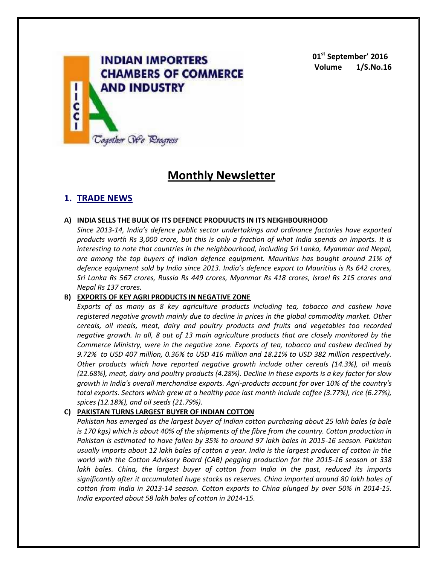

**01st September' 2016 Volume 1/S.No.16**

# **Monthly Newsletter**

# **1. TRADE NEWS**

### **A) INDIA SELLS THE BULK OF ITS DEFENCE PRODUUCTS IN ITS NEIGHBOURHOOD**

*Since 2013-14, India's defence public sector undertakings and ordinance factories have exported products worth Rs 3,000 crore, but this is only a fraction of what India spends on imports. It is interesting to note that countries in the neighbourhood, including Sri Lanka, Myanmar and Nepal, are among the top buyers of Indian defence equipment. Mauritius has bought around 21% of defence equipment sold by India since 2013. India's defence export to Mauritius is Rs 642 crores, Sri Lanka Rs 567 crores, Russia Rs 449 crores, Myanmar Rs 418 crores, Israel Rs 215 crores and Nepal Rs 137 crores.*

# **B) EXPORTS OF KEY AGRI PRODUCTS IN NEGATIVE ZONE**

*Exports of as many as 8 key agriculture products including tea, tobacco and cashew have registered negative growth mainly due to decline in prices in the global commodity market. Other cereals, oil meals, meat, dairy and poultry products and fruits and vegetables too recorded negative growth. In all, 8 out of 13 main agriculture products that are closely monitored by the Commerce Ministry, were in the negative zone. Exports of tea, tobacco and cashew declined by 9.72% to USD 407 million, 0.36% to USD 416 million and 18.21% to USD 382 million respectively. Other products which have reported negative growth include other cereals (14.3%), oil meals (22.68%), meat, dairy and poultry products (4.28%). Decline in these exports is a key factor for slow growth in India's overall merchandise exports. Agri-products account for over 10% of the country's total exports. Sectors which grew at a healthy pace last month include coffee (3.77%), rice (6.27%), spices (12.18%), and oil seeds (21.79%).*

# **C) PAKISTAN TURNS LARGEST BUYER OF INDIAN COTTON**

*Pakistan has emerged as the largest buyer of Indian cotton purchasing about 25 lakh bales (a bale is 170 kgs) which is about 40% of the shipments of the fibre from the country. Cotton production in Pakistan is estimated to have fallen by 35% to around 97 lakh bales in 2015-16 season. Pakistan usually imports about 12 lakh bales of cotton a year. India is the largest producer of cotton in the world with the Cotton Advisory Board (CAB) pegging production for the 2015-16 season at 338 lakh bales. China, the largest buyer of cotton from India in the past, reduced its imports significantly after it accumulated huge stocks as reserves. China imported around 80 lakh bales of cotton from India in 2013-14 season. Cotton exports to China plunged by over 50% in 2014-15. India exported about 58 lakh bales of cotton in 2014-15.*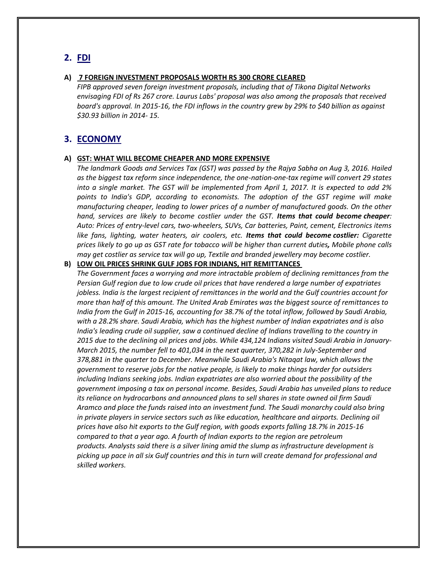# **2. FDI**

#### **A) 7 FOREIGN INVESTMENT PROPOSALS WORTH RS 300 CRORE CLEARED**

*FIPB approved seven foreign investment proposals, including that of Tikona Digital Networks envisaging FDI of Rs 267 crore. Laurus Labs' proposal was also among the proposals that received board's approval. In 2015-16, the FDI inflows in the country grew by 29% to \$40 billion as against \$30.93 billion in 2014- 15.*

# **3. ECONOMY**

### **A) GST: WHAT WILL BECOME CHEAPER AND MORE EXPENSIVE**

*The landmark Goods and Services Tax (GST) was passed by the Rajya Sabha on Aug 3, 2016. Hailed as the biggest tax reform since independence, the one-nation-one-tax regime will convert 29 states into a single market. The GST will be implemented from April 1, 2017. It is expected to add 2% points to India's GDP, according to economists. The adoption of the GST regime will make manufacturing cheaper, leading to lower prices of a number of manufactured goods. On the other hand, services are likely to become costlier under the GST. Items that could become cheaper: Auto: Prices of entry-level cars, two-wheelers, SUVs, Car batteries, Paint, cement, Electronics items like fans, lighting, water heaters, air coolers, etc. Items that could become costlier: Cigarette prices likely to go up as GST rate for tobacco will be higher than current duties, Mobile phone calls may get costlier as service tax will go up, Textile and branded jewellery may become costlier.*

#### **B) LOW OIL PRICES SHRINK GULF JOBS FOR INDIANS, HIT REMITTANCES**

*The Government faces a worrying and more intractable problem of declining remittances from the Persian Gulf region due to low crude oil prices that have rendered a large number of expatriates jobless. India is the largest recipient of remittances in the world and the Gulf countries account for more than half of this amount. The United Arab Emirates was the biggest source of remittances to India from the Gulf in 2015-16, accounting for 38.7% of the total inflow, followed by Saudi Arabia, with a 28.2% share. Saudi Arabia, which has the highest number of Indian expatriates and is also India's leading crude oil supplier, saw a continued decline of Indians travelling to the country in 2015 due to the declining oil prices and jobs. While 434,124 Indians visited Saudi Arabia in January-March 2015, the number fell to 401,034 in the next quarter, 370,282 in July-September and 378,881 in the quarter to December. Meanwhile Saudi Arabia's Nitaqat law, which allows the government to reserve jobs for the native people, is likely to make things harder for outsiders including Indians seeking jobs. Indian expatriates are also worried about the possibility of the government imposing a tax on personal income. Besides, Saudi Arabia has unveiled plans to reduce its reliance on hydrocarbons and announced plans to sell shares in state owned oil firm Saudi Aramco and place the funds raised into an investment fund. The Saudi monarchy could also bring in private players in service sectors such as like education, healthcare and airports. Declining oil prices have also hit exports to the Gulf region, with goods exports falling 18.7% in 2015-16 compared to that a year ago. A fourth of Indian exports to the region are petroleum products. Analysts said there is a silver lining amid the slump as infrastructure development is picking up pace in all six Gulf countries and this in turn will create demand for professional and skilled workers.*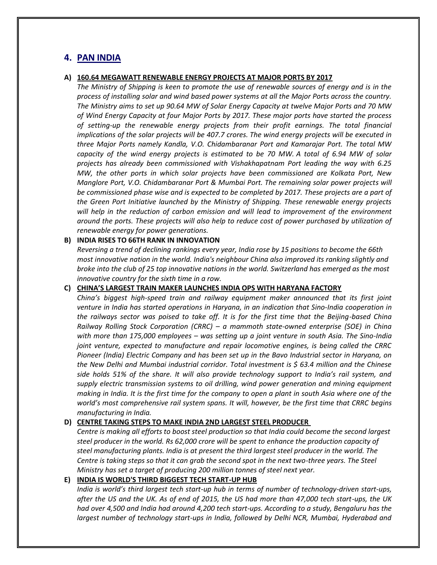# **4. PAN INDIA**

### **A) 160.64 MEGAWATT RENEWABLE ENERGY PROJECTS AT MAJOR PORTS BY 2017**

*The Ministry of Shipping is keen to promote the use of renewable sources of energy and is in the process of installing solar and wind based power systems at all the Major Ports across the country. The Ministry aims to set up 90.64 MW of Solar Energy Capacity at twelve Major Ports and 70 MW of Wind Energy Capacity at four Major Ports by 2017. These major ports have started the process of setting-up the renewable energy projects from their profit earnings. The total financial implications of the solar projects will be 407.7 crores. The wind energy projects will be executed in three Major Ports namely Kandla, V.O. Chidambaranar Port and Kamarajar Port. The total MW capacity of the wind energy projects is estimated to be 70 MW. A total of 6.94 MW of solar projects has already been commissioned with Vishakhapatnam Port leading the way with 6.25 MW, the other ports in which solar projects have been commissioned are Kolkata Port, New Manglore Port, V.O. Chidambaranar Port & Mumbai Port. The remaining solar power projects will be commissioned phase wise and is expected to be completed by 2017. These projects are a part of the Green Port Initiative launched by the Ministry of Shipping. These renewable energy projects will help in the reduction of carbon emission and will lead to improvement of the environment around the ports. These projects will also help to reduce cost of power purchased by utilization of renewable energy for power generations.*

### **B) INDIA RISES TO 66TH RANK IN INNOVATION**

*Reversing a trend of declining rankings every year, India rose by 15 positions to become the 66th most innovative nation in the world. India's neighbour China also improved its ranking slightly and broke into the club of 25 top innovative nations in the world. Switzerland has emerged as the most innovative country for the sixth time in a row.*

# **C) CHINA'S LARGEST TRAIN MAKER LAUNCHES INDIA OPS WITH HARYANA FACTORY**

*China's biggest high-speed train and railway equipment maker announced that its first joint venture in India has started operations in Haryana, in an indication that Sino-India cooperation in the railways sector was poised to take off. It is for the first time that the Beijing-based China Railway Rolling Stock Corporation (CRRC) – a mammoth state-owned enterprise (SOE) in China with more than 175,000 employees – was setting up a joint venture in south Asia. The Sino-India joint venture, expected to manufacture and repair locomotive engines, is being called the CRRC Pioneer (India) Electric Company and has been set up in the Bavo Industrial sector in Haryana, on the New Delhi and Mumbai industrial corridor. Total investment is \$ 63.4 million and the Chinese side holds 51% of the share. It will also provide technology support to India's rail system, and supply electric transmission systems to oil drilling, wind power generation and mining equipment making in India. It is the first time for the company to open a plant in south Asia where one of the world's most comprehensive rail system spans. It will, however, be the first time that CRRC begins manufacturing in India.*

### **D) CENTRE TAKING STEPS TO MAKE INDIA 2ND LARGEST STEEL PRODUCER**

*Centre is making all efforts to boost steel production so that India could become the second largest steel producer in the world. Rs 62,000 crore will be spent to enhance the production capacity of steel manufacturing plants. India is at present the third largest steel producer in the world. The Centre is taking steps so that it can grab the second spot in the next two-three years. The Steel Ministry has set a target of producing 200 million tonnes of steel next year.*

# **E) INDIA IS WORLD'S THIRD BIGGEST TECH START-UP HUB**

*India is world's third largest tech start-up hub in terms of number of technology-driven start-ups, after the US and the UK. As of end of 2015, the US had more than 47,000 tech start-ups, the UK had over 4,500 and India had around 4,200 tech start-ups. According to a study, Bengaluru has the largest number of technology start-ups in India, followed by Delhi NCR, Mumbai, Hyderabad and*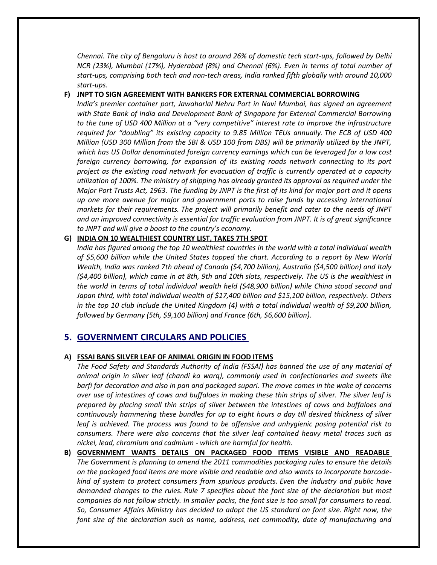*Chennai. The city of Bengaluru is host to around 26% of domestic tech start-ups, followed by Delhi NCR (23%), Mumbai (17%), Hyderabad (8%) and Chennai (6%). Even in terms of total number of start-ups, comprising both tech and non-tech areas, India ranked fifth globally with around 10,000 start-ups.*

### **F) JNPT TO SIGN AGREEMENT WITH BANKERS FOR EXTERNAL COMMERCIAL BORROWING**

*India's premier container port, Jawaharlal Nehru Port in Navi Mumbai, has signed an agreement with State Bank of India and Development Bank of Singapore for External Commercial Borrowing to the tune of USD 400 Million at a "very competitive" interest rate to improve the infrastructure required for "doubling" its existing capacity to 9.85 Million TEUs annually. The ECB of USD 400 Million (USD 300 Million from the SBI & USD 100 from DBS) will be primarily utilized by the JNPT, which has US Dollar denominated foreign currency earnings which can be leveraged for a low cost foreign currency borrowing, for expansion of its existing roads network connecting to its port project as the existing road network for evacuation of traffic is currently operated at a capacity utilization of 100%. The ministry of shipping has already granted its approval as required under the Major Port Trusts Act, 1963. The funding by JNPT is the first of its kind for major port and it opens up one more avenue for major and government ports to raise funds by accessing international markets for their requirements. The project will primarily benefit and cater to the needs of JNPT and an improved connectivity is essential for traffic evaluation from JNPT. It is of great significance to JNPT and will give a boost to the country's economy.*

### **G) INDIA ON 10 WEALTHIEST COUNTRY LIST, TAKES 7TH SPOT**

*India has figured among the top 10 wealthiest countries in the world with a total individual wealth of \$5,600 billion while the United States topped the chart. According to a report by New World Wealth, India was ranked 7th ahead of Canada (\$4,700 billion), Australia (\$4,500 billion) and Italy (\$4,400 billion), which came in at 8th, 9th and 10th slots, respectively. The US is the wealthiest in the world in terms of total individual wealth held (\$48,900 billion) while China stood second and Japan third, with total individual wealth of \$17,400 billion and \$15,100 billion, respectively. Others in the top 10 club include the United Kingdom (4) with a total individual wealth of \$9,200 billion, followed by Germany (5th, \$9,100 billion) and France (6th, \$6,600 billion).*

# **5. GOVERNMENT CIRCULARS AND POLICIES**

### **A) FSSAI BANS SILVER LEAF OF ANIMAL ORIGIN IN FOOD ITEMS**

*The Food Safety and Standards Authority of India (FSSAI) has banned the use of any material of animal origin in silver leaf (chandi ka warq), commonly used in confectionaries and sweets like barfi for decoration and also in pan and packaged supari. The move comes in the wake of concerns over use of intestines of cows and buffaloes in making these thin strips of silver. The silver leaf is prepared by placing small thin strips of silver between the intestines of cows and buffaloes and continuously hammering these bundles for up to eight hours a day till desired thickness of silver leaf is achieved. The process was found to be offensive and unhygienic posing potential risk to consumers. There were also concerns that the silver leaf contained heavy metal traces such as nickel, lead, chromium and cadmium - which are harmful for health.*

**B) GOVERNMENT WANTS DETAILS ON PACKAGED FOOD ITEMS VISIBLE AND READABLE** *The Government is planning to amend the 2011 commodities packaging rules to ensure the details on the packaged food items are more visible and readable and also wants to incorporate barcodekind of system to protect consumers from spurious products. Even the industry and public have demanded changes to the rules. Rule 7 specifies about the font size of the declaration but most companies do not follow strictly. In smaller packs, the font size is too small for consumers to read. So, Consumer Affairs Ministry has decided to adopt the US standard on font size. Right now, the font size of the declaration such as name, address, net commodity, date of manufacturing and*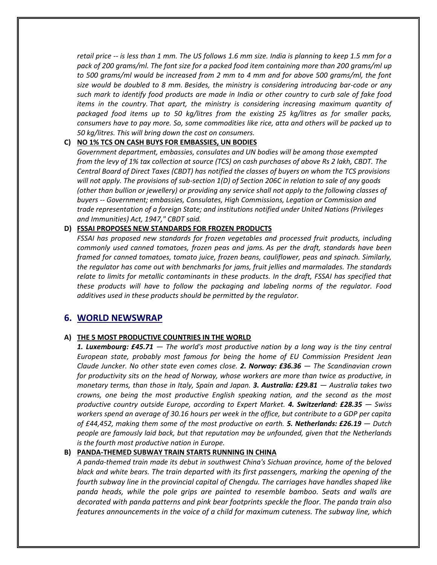*retail price -- is less than 1 mm. The US follows 1.6 mm size. India is planning to keep 1.5 mm for a pack of 200 grams/ml. The font size for a packed food item containing more than 200 grams/ml up to 500 grams/ml would be increased from 2 mm to 4 mm and for above 500 grams/ml, the font size would be doubled to 8 mm. Besides, the ministry is considering introducing bar-code or any such mark to identify food products are made in India or other country to curb sale of fake food items in the country. That apart, the ministry is considering increasing maximum quantity of packaged food items up to 50 kg/litres from the existing 25 kg/litres as for smaller packs, consumers have to pay more. So, some commodities like rice, atta and others will be packed up to 50 kg/litres. This will bring down the cost on consumers.*

# **C) NO 1% TCS ON CASH BUYS FOR EMBASSIES, UN BODIES**

*Government department, embassies, consulates and UN bodies will be among those exempted from the levy of 1% tax collection at source (TCS) on cash purchases of above Rs 2 lakh, CBDT. The Central Board of Direct Taxes (CBDT) has notified the classes of buyers on whom the TCS provisions will not apply. The provisions of sub-section 1(D) of Section 206C in relation to sale of any goods (other than bullion or jewellery) or providing any service shall not apply to the following classes of buyers -- Government; embassies, Consulates, High Commissions, Legation or Commission and trade representation of a foreign State; and institutions notified under United Nations (Privileges and Immunities) Act, 1947," CBDT said.*

# **D) FSSAI PROPOSES NEW STANDARDS FOR FROZEN PRODUCTS**

*FSSAI has proposed new standards for frozen vegetables and processed fruit products, including commonly used canned tomatoes, frozen peas and jams. As per the draft, standards have been framed for canned tomatoes, tomato juice, frozen beans, cauliflower, peas and spinach. Similarly, the regulator has come out with benchmarks for jams, fruit jellies and marmalades. The standards relate to limits for metallic contaminants in these products. In the draft, FSSAI has specified that these products will have to follow the packaging and labeling norms of the regulator. Food additives used in these products should be permitted by the regulator.*

# **6. WORLD NEWSWRAP**

# **A) THE 5 MOST PRODUCTIVE COUNTRIES IN THE WORLD**

*1. Luxembourg: £45.71 — The world's most productive nation by a long way is the tiny central European state, probably most famous for being the home of EU Commission President Jean Claude Juncker. No other state even comes close. 2. Norway: £36.36 — The Scandinavian crown for productivity sits on the head of Norway, whose workers are more than twice as productive, in monetary terms, than those in Italy, Spain and Japan. 3. Australia: £29.81 — Australia takes two crowns, one being the most productive English speaking nation, and the second as the most productive country outside Europe, according to Expert Market. 4. Switzerland: £28.35 — Swiss workers spend an average of 30.16 hours per week in the office, but contribute to a GDP per capita of £44,452, making them some of the most productive on earth. 5. Netherlands: £26.19 — Dutch people are famously laid back, but that reputation may be unfounded, given that the Netherlands is the fourth most productive nation in Europe.*

# **B) PANDA-THEMED SUBWAY TRAIN STARTS RUNNING IN CHINA**

*A panda-themed train made its debut in southwest China's Sichuan province, home of the beloved black and white bears. The train departed with its first passengers, marking the opening of the fourth subway line in the provincial capital of Chengdu. The carriages have handles shaped like panda heads, while the pole grips are painted to resemble bamboo. Seats and walls are decorated with panda patterns and pink bear footprints speckle the floor. The panda train also features announcements in the voice of a child for maximum cuteness. The subway line, which*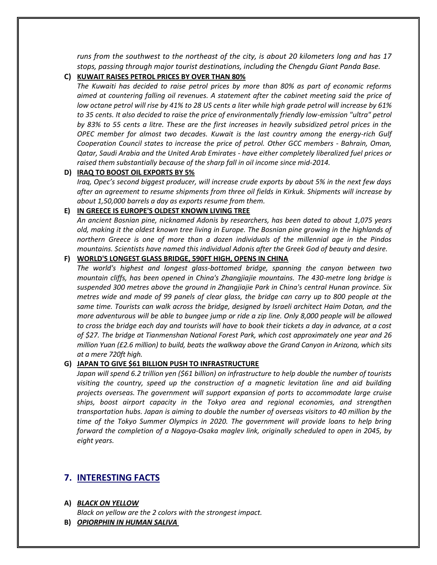*runs from the southwest to the northeast of the city, is about 20 kilometers long and has 17 stops, passing through major tourist destinations, including the Chengdu Giant Panda Base.*

### **C) KUWAIT RAISES PETROL PRICES BY OVER THAN 80%**

*The Kuwaiti has decided to raise petrol prices by more than 80% as part of economic reforms aimed at countering falling oil revenues. A statement after the cabinet meeting said the price of low octane petrol will rise by 41% to 28 US cents a liter while high grade petrol will increase by 61% to 35 cents. It also decided to raise the price of environmentally friendly low-emission "ultra" petrol by 83% to 55 cents a litre. These are the first increases in heavily subsidized petrol prices in the OPEC member for almost two decades. Kuwait is the last country among the energy-rich Gulf Cooperation Council states to increase the price of petrol. Other GCC members - Bahrain, Oman, Qatar, Saudi Arabia and the United Arab Emirates - have either completely liberalized fuel prices or raised them substantially because of the sharp fall in oil income since mid-2014.*

### **D) IRAQ TO BOOST OIL EXPORTS BY 5%**

*Iraq, Opec's second biggest producer, will increase crude exports by about 5% in the next few days after an agreement to resume shipments from three oil fields in Kirkuk. Shipments will increase by about 1,50,000 barrels a day as exports resume from them.*

### **E) IN GREECE IS EUROPE'S OLDEST KNOWN LIVING TREE**

*An ancient Bosnian pine, nicknamed Adonis by researchers, has been dated to about 1,075 years old, making it the oldest known tree living in Europe. The Bosnian pine growing in the highlands of northern Greece is one of more than a dozen individuals of the millennial age in the Pindos mountains. Scientists have named this individual Adonis after the Greek God of beauty and desire.*

# **F) WORLD'S LONGEST GLASS BRIDGE, 590FT HIGH, OPENS IN CHINA**

*The world's highest and longest glass-bottomed bridge, spanning the canyon between two mountain cliffs, has been opened in China's Zhangjiajie mountains. The 430-metre long bridge is suspended 300 metres above the ground in Zhangjiajie Park in China's central Hunan province. Six metres wide and made of 99 panels of clear glass, the bridge can carry up to 800 people at the same time. Tourists can walk across the bridge, designed by Israeli architect Haim Dotan, and the more adventurous will be able to bungee jump or ride a zip line. Only 8,000 people will be allowed to cross the bridge each day and tourists will have to book their tickets a day in advance, at a cost of \$27. The bridge at Tianmenshan National Forest Park, which cost approximately one year and 26 million Yuan (£2.6 million) to build, beats the walkway above the Grand Canyon in Arizona, which sits at a mere 720ft high.*

#### **G) JAPAN TO GIVE \$61 BILLION PUSH TO INFRASTRUCTURE**

*Japan will spend 6.2 trillion yen (\$61 billion) on infrastructure to help double the number of tourists visiting the country, speed up the construction of a magnetic levitation line and aid building projects overseas. The government will support expansion of ports to accommodate large cruise ships, boost airport capacity in the Tokyo area and regional economies, and strengthen transportation hubs. Japan is aiming to double the number of overseas visitors to 40 million by the time of the Tokyo Summer Olympics in 2020. The government will provide loans to help bring forward the completion of a Nagoya-Osaka maglev link, originally scheduled to open in 2045, by eight years.*

# **7. INTERESTING FACTS**

#### **A)** *BLACK ON YELLOW*

*Black on yellow are the 2 colors with the strongest impact.*

**B)** *OPIORPHIN IN HUMAN SALIVA*